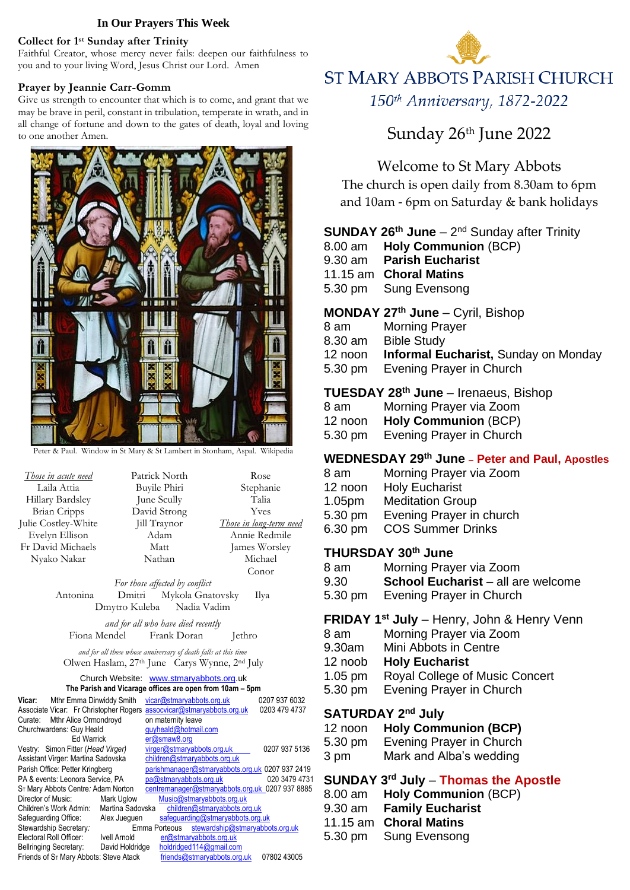#### **In Our Prayers This Week**

#### **Collect for 1 st Sunday after Trinity**

Faithful Creator, whose mercy never fails: deepen our faithfulness to you and to your living Word, Jesus Christ our Lord. Amen

#### **Prayer by Jeannie Carr-Gomm**

Give us strength to encounter that which is to come, and grant that we may be brave in peril, constant in tribulation, temperate in wrath, and in all change of fortune and down to the gates of death, loyal and loving to one another Amen.



Peter & Paul. Window in St Mary & St Lambert in Stonham, Aspal. Wikipedia

| Those in acute need | Patrick North | Rose                    |  |  |
|---------------------|---------------|-------------------------|--|--|
| Laila Attia         | Buyile Phiri  | Stephanie               |  |  |
| Hillary Bardsley    | June Scully   | Talia                   |  |  |
| <b>Brian Cripps</b> | David Strong  | Yves                    |  |  |
| Julie Costley-White | Jill Traynor  | Those in long-term need |  |  |
| Evelyn Ellison      | Adam          | Annie Redmile           |  |  |
| Fr David Michaels   | Matt          | James Worsley           |  |  |
| Nyako Nakar         | Nathan        | Michael                 |  |  |
|                     |               | Conor                   |  |  |

*For those affected by conflict* Antonina Dmitri Mykola Gnatovsky Ilya Dmytro Kuleba Nadia Vadim

*and for all who have died recently* Fiona Mendel Frank Doran Jethro

*and for all those whose anniversary of death falls at this time* Olwen Haslam, 27th June Carys Wynne, 2nd July

#### Church Website:[www.stmaryabbots.org.](http://www.stmaryabbots.org/)uk **The Parish and Vicarage offices are open from 10am – 5pm**

| Vicar:<br>Mthr Emma Dinwiddy Smith                 |                  |                      |                    | vicar@stmaryabbots.org.uk      |                                  | 0207 937 6032                                   |
|----------------------------------------------------|------------------|----------------------|--------------------|--------------------------------|----------------------------------|-------------------------------------------------|
| Associate Vicar: Fr Christopher Rogers             |                  |                      |                    | assocvicar@stmaryabbots.org.uk |                                  | 0203 479 4737                                   |
| Curate: Mthr Alice Ormondroyd                      |                  |                      | on maternity leave |                                |                                  |                                                 |
| Churchwardens: Guy Heald                           |                  | quyheald@hotmail.com |                    |                                |                                  |                                                 |
| <b>Ed Warrick</b>                                  |                  |                      | er@smaw8.org       |                                |                                  |                                                 |
| Vestry: Simon Fitter (Head Virger)                 |                  |                      |                    | virger@stmaryabbots.org.uk     |                                  | 0207 937 5136                                   |
| Assistant Virger: Martina Sadovska                 |                  |                      |                    | children@stmaryabbots.org.uk   |                                  |                                                 |
| Parish Office: Petter Kringberg                    |                  |                      |                    |                                |                                  | parishmanager@stmaryabbots.org.uk 0207 937 2419 |
| PA & events: Leonora Service, PA                   |                  |                      |                    | pa@stmaryabbots.org.uk         |                                  | 020 3479 4731                                   |
| S <sub>T</sub> Mary Abbots Centre: Adam Norton     |                  |                      |                    |                                |                                  | centremanager@stmaryabbots.org.uk 0207 937 8885 |
| Director of Music:                                 | Mark Uglow       |                      |                    | Music@stmaryabbots.org.uk      |                                  |                                                 |
| Children's Work Admin:                             | Martina Sadovska |                      |                    |                                | children@stmaryabbots.org.uk     |                                                 |
| Safeguarding Office:                               | Alex Jueguen     |                      |                    |                                | safequarding@stmaryabbots.org.uk |                                                 |
| Stewardship Secretary:                             |                  |                      | Emma Porteous      |                                |                                  | stewardship@stmaryabbots.org.uk                 |
| Electoral Roll Officer:                            | Ivell Arnold     |                      |                    | er@stmaryabbots.org.uk         |                                  |                                                 |
| <b>Bellringing Secretary:</b>                      | David Holdridge  |                      |                    | holdridged114@gmail.com        |                                  |                                                 |
| Friends of S <sub>T</sub> Mary Abbots: Steve Atack |                  |                      |                    | friends@stmaryabbots.org.uk    |                                  | 07802 43005                                     |



# Sunday 26<sup>th</sup> June 2022

# Welcome to St Mary Abbots

The church is open daily from 8.30am to 6pm and 10am - 6pm on Saturday & bank holidays

### **SUNDAY 26<sup>th</sup> June** – 2<sup>nd</sup> Sunday after Trinity

- 8.00 am **Holy Communion** (BCP)
- 9.30 am **Parish Eucharist**
- 11.15 am **Choral Matins**
- 5.30 pm Sung Evensong

# **MONDAY 27th June** – Cyril, Bishop

- 8 am Morning Prayer
- 8.30 am Bible Study
- 12 noon **Informal Eucharist,** Sunday on Monday
- 5.30 pm Evening Prayer in Church

### **TUESDAY 28th June** – Irenaeus, Bishop

- 8 am Morning Prayer via Zoom
- 12 noon **Holy Communion** (BCP)
- 5.30 pm Evening Prayer in Church

# **WEDNESDAY 29th June – Peter and Paul, Apostles**

- 8 am Morning Prayer via Zoom
- 12 noon Holy Eucharist
- 1.05pm Meditation Group
- 5.30 pm Evening Prayer in church
- 6.30 pm COS Summer Drinks

# **THURSDAY 30th June**

- 8 am Morning Prayer via Zoom
- 9.30 **School Eucharist** all are welcome
- 5.30 pm Evening Prayer in Church

### **FRIDAY 1 st July** – Henry, John & Henry Venn

- 8 am Morning Prayer via Zoom
- 9.30am Mini Abbots in Centre
- 12 noob **Holy Eucharist**
- 1.05 pm Royal College of Music Concert
- 5.30 pm Evening Prayer in Church

# SATURDAY 2<sup>nd</sup> July

- 12 noon **Holy Communion (BCP)**
- 5.30 pm Evening Prayer in Church
- 3 pm Mark and Alba's wedding

# **SUNDAY 3 rd July** – **Thomas the Apostle**

| 8.00 am Holy Communion (BCP) |
|------------------------------|
| 9.30 am Family Eucharist     |
| 11.15 am Choral Matins       |
| 5.30 pm Sung Evensong        |